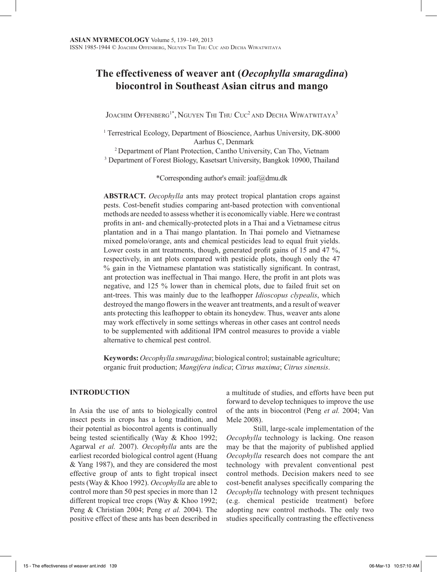# **The effectiveness of weaver ant (***Oecophylla smaragdina***) biocontrol in Southeast Asian citrus and mango**

Joachim Offenberg<sup>1\*</sup>, Nguyen Thi Thu Cuc<sup>2</sup> and Decha Wiwatwitaya<sup>3</sup>

<sup>1</sup> Terrestrical Ecology, Department of Bioscience, Aarhus University, DK-8000 Aarhus C, Denmark

2 Department of Plant Protection, Cantho University, Can Tho, Vietnam <sup>3</sup> Department of Forest Biology, Kasetsart University, Bangkok 10900, Thailand

\*Corresponding author's email: joaf@dmu.dk

**ABSTRACT.** *Oecophylla* ants may protect tropical plantation crops against pests. Cost-benefit studies comparing ant-based protection with conventional methods are needed to assess whether it is economically viable. Here we contrast profits in ant- and chemically-protected plots in a Thai and a Vietnamese citrus plantation and in a Thai mango plantation. In Thai pomelo and Vietnamese mixed pomelo/orange, ants and chemical pesticides lead to equal fruit yields. Lower costs in ant treatments, though, generated profit gains of 15 and 47 %, respectively, in ant plots compared with pesticide plots, though only the 47 % gain in the Vietnamese plantation was statistically significant. In contrast, ant protection was ineffectual in Thai mango. Here, the profit in ant plots was negative, and 125 % lower than in chemical plots, due to failed fruit set on ant-trees. This was mainly due to the leafhopper *Idioscopus clypealis*, which destroyed the mango flowers in the weaver ant treatments, and a result of weaver ants protecting this leafhopper to obtain its honeydew. Thus, weaver ants alone may work effectively in some settings whereas in other cases ant control needs to be supplemented with additional IPM control measures to provide a viable alternative to chemical pest control.

**Keywords:** *Oecophylla smaragdina*; biological control; sustainable agriculture; organic fruit production; *Mangifera indica*; *Citrus maxima*; *Citrus sinensis*.

## **INTRODUCTION**

In Asia the use of ants to biologically control insect pests in crops has a long tradition, and their potential as biocontrol agents is continually being tested scientifically (Way & Khoo 1992; Agarwal *et al.* 2007). *Oecophylla* ants are the earliest recorded biological control agent (Huang & Yang 1987), and they are considered the most effective group of ants to fight tropical insect pests (Way & Khoo 1992). *Oecophylla* are able to control more than 50 pest species in more than 12 different tropical tree crops (Way & Khoo 1992; Peng & Christian 2004; Peng *et al.* 2004). The positive effect of these ants has been described in

a multitude of studies, and efforts have been put forward to develop techniques to improve the use of the ants in biocontrol (Peng *et al.* 2004; Van Mele 2008).

 Still, large-scale implementation of the *Oecophylla* technology is lacking. One reason may be that the majority of published applied *Oecophylla* research does not compare the ant technology with prevalent conventional pest control methods. Decision makers need to see cost-benefit analyses specifically comparing the *Oecophylla* technology with present techniques (e.g. chemical pesticide treatment) before adopting new control methods. The only two studies specifically contrasting the effectiveness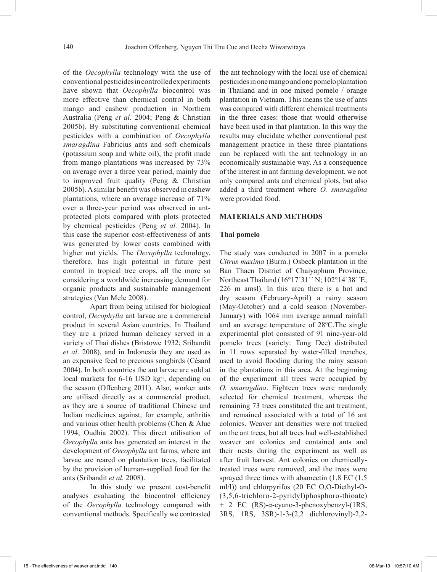of the *Oecophylla* technology with the use of conventional pesticides in controlled experiments have shown that *Oecophylla* biocontrol was more effective than chemical control in both mango and cashew production in Northern Australia (Peng *et al.* 2004; Peng & Christian 2005b). By substituting conventional chemical pesticides with a combination of *Oecophylla smaragdina* Fabricius ants and soft chemicals (potassium soap and white oil), the profit made from mango plantations was increased by 73% on average over a three year period, mainly due to improved fruit quality (Peng & Christian 2005b). A similar benefit was observed in cashew plantations, where an average increase of 71% over a three-year period was observed in antprotected plots compared with plots protected by chemical pesticides (Peng *et al.* 2004). In this case the superior cost-effectiveness of ants was generated by lower costs combined with higher nut yields. The *Oecophylla* technology, therefore, has high potential in future pest control in tropical tree crops, all the more so considering a worldwide increasing demand for organic products and sustainable management strategies (Van Mele 2008).

Apart from being utilised for biological control, *Oecophylla* ant larvae are a commercial product in several Asian countries. In Thailand they are a prized human delicacy served in a variety of Thai dishes (Bristowe 1932; Sribandit *et al*. 2008), and in Indonesia they are used as an expensive feed to precious songbirds (Césard 2004). In both countries the ant larvae are sold at local markets for 6-16 USD kg<sup>-1</sup>, depending on the season (Offenberg 2011). Also, worker ants are utilised directly as a commercial product, as they are a source of traditional Chinese and Indian medicines against, for example, arthritis and various other health problems (Chen & Alue 1994; Oudhia 2002). This direct utilisation of *Oecophylla* ants has generated an interest in the development of *Oecophylla* ant farms, where ant larvae are reared on plantation trees, facilitated by the provision of human-supplied food for the ants (Sribandit *et al.* 2008).

In this study we present cost-benefit analyses evaluating the biocontrol efficiency of the *Oecophylla* technology compared with conventional methods. Specifically we contrasted

the ant technology with the local use of chemical pesticides in one mango and one pomelo plantation in Thailand and in one mixed pomelo / orange plantation in Vietnam. This means the use of ants was compared with different chemical treatments in the three cases: those that would otherwise have been used in that plantation. In this way the results may elucidate whether conventional pest management practice in these three plantations can be replaced with the ant technology in an economically sustainable way. As a consequence of the interest in ant farming development, we not only compared ants and chemical plots, but also added a third treatment where *O. smaragdina* were provided food.

# **MATERIALS AND METHODS**

#### **Thai pomelo**

The study was conducted in 2007 in a pomelo *Citrus maxima* (Burm.) Osbeck plantation in the Ban Thaen District of Chaiyaphum Province, Northeast Thailand (16°17´31´´ N; 102°14´38´´E; 226 m amsl). In this area there is a hot and dry season (February-April) a rainy season (May-October) and a cold season (November-January) with 1064 mm average annual rainfall and an average temperature of 28ºC.The single experimental plot consisted of 91 nine-year-old pomelo trees (variety: Tong Dee) distributed in 11 rows separated by water-filled trenches, used to avoid flooding during the rainy season in the plantations in this area. At the beginning of the experiment all trees were occupied by *O. smaragdina*. Eighteen trees were randomly selected for chemical treatment, whereas the remaining 73 trees constituted the ant treatment, and remained associated with a total of 16 ant colonies. Weaver ant densities were not tracked on the ant trees, but all trees had well-established weaver ant colonies and contained ants and their nests during the experiment as well as after fruit harvest. Ant colonies on chemicallytreated trees were removed, and the trees were sprayed three times with abamectin (1.8 EC (1.5 ml/l)) and chlorpyrifos (20 EC O,O-Diethyl-O- (3,5,6-trichloro-2-pyridyl)phosphoro-thioate) + 2 EC (RS)-α-cyano-3-phenoxybenzyl-(1RS, 3RS, 1RS, 3SR)-1-3-(2,2 dichlorovinyl)-2,2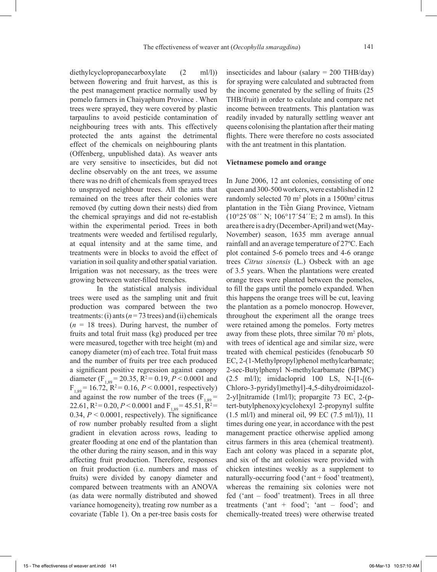diethylcyclopropanecarboxylate (2 ml/l)) between flowering and fruit harvest, as this is the pest management practice normally used by pomelo farmers in Chaiyaphum Province . When trees were sprayed, they were covered by plastic tarpaulins to avoid pesticide contamination of neighbouring trees with ants. This effectively protected the ants against the detrimental effect of the chemicals on neighbouring plants (Offenberg, unpublished data). As weaver ants are very sensitive to insecticides, but did not decline observably on the ant trees, we assume there was no drift of chemicals from sprayed trees to unsprayed neighbour trees. All the ants that remained on the trees after their colonies were removed (by cutting down their nests) died from the chemical sprayings and did not re-establish within the experimental period. Trees in both treatments were weeded and fertilised regularly, at equal intensity and at the same time, and treatments were in blocks to avoid the effect of variation in soil quality and other spatial variation. Irrigation was not necessary, as the trees were growing between water-filled trenches.

In the statistical analysis individual trees were used as the sampling unit and fruit production was compared between the two treatments: (i) ants ( $n = 73$  trees) and (ii) chemicals  $(n = 18$  trees). During harvest, the number of fruits and total fruit mass (kg) produced per tree were measured, together with tree height (m) and canopy diameter (m) of each tree. Total fruit mass and the number of fruits per tree each produced a significant positive regression against canopy diameter (F<sub>1,89</sub> = 20.35, R<sup>2</sup> = 0.19, P < 0.0001 and  $F_{1,89}$  = 16.72,  $R^2$  = 0.16,  $P < 0.0001$ , respectively) and against the row number of the trees  $(F_{1,89} =$ 22.61,  $R^2 = 0.20$ ,  $P < 0.0001$  and  $F_{1,89} = 45.51$ ,  $R^2 =$ 0.34,  $P < 0.0001$ , respectively). The significance of row number probably resulted from a slight gradient in elevation across rows, leading to greater flooding at one end of the plantation than the other during the rainy season, and in this way affecting fruit production. Therefore, responses on fruit production (i.e. numbers and mass of fruits) were divided by canopy diameter and compared between treatments with an ANOVA (as data were normally distributed and showed variance homogeneity), treating row number as a covariate (Table 1). On a per-tree basis costs for insecticides and labour (salary = 200 THB/day) for spraying were calculated and subtracted from the income generated by the selling of fruits (25 THB/fruit) in order to calculate and compare net income between treatments. This plantation was readily invaded by naturally settling weaver ant queens colonising the plantation after their mating flights. There were therefore no costs associated with the ant treatment in this plantation.

# **Vietnamese pomelo and orange**

In June 2006, 12 ant colonies, consisting of one queen and 300-500 workers, were established in 12 randomly selected  $70 \text{ m}^2$  plots in a  $1500 \text{ m}^2$  citrus plantation in the Tiền Giang Province, Vietnam  $(10^{\circ}25'08''$  N;  $106^{\circ}17'54''E$ ; 2 m amsl). In this area there is a dry (December-April) and wet (May-November) season, 1635 mm average annual rainfall and an average temperature of 27ºC. Each plot contained 5-6 pomelo trees and 4-6 orange trees *Citrus sinensis* (L.) Osbeck with an age of 3.5 years. When the plantations were created orange trees were planted between the pomelos, to fill the gaps until the pomelo expanded. When this happens the orange trees will be cut, leaving the plantation as a pomelo monocrop. However, throughout the experiment all the orange trees were retained among the pomelos. Forty metres away from these plots, three similar  $70 \text{ m}^2$  plots, with trees of identical age and similar size, were treated with chemical pesticides (fenobucarb 50 EC, 2-(1-Methylpropyl)phenol methylcarbamate; 2-sec-Butylphenyl N-methylcarbamate (BPMC) (2.5 ml/l); imidacloprid 100 LS, N-[1-[(6- Chloro-3-pyridyl)methyl]-4,5-dihydroimidazol-2-yl]nitramide (1ml/l); propargite 73 EC, 2-(ptert-butylphenoxy)cyclohexyl 2-propynyl sulfite (1.5 ml/l) and mineral oil, 99 EC (7.5 ml/l)), 11 times during one year, in accordance with the pest management practice otherwise applied among citrus farmers in this area (chemical treatment). Each ant colony was placed in a separate plot, and six of the ant colonies were provided with chicken intestines weekly as a supplement to naturally-occurring food ('ant + food' treatment), whereas the remaining six colonies were not fed ('ant – food' treatment). Trees in all three treatments ('ant + food'; 'ant – food'; and chemically-treated trees) were otherwise treated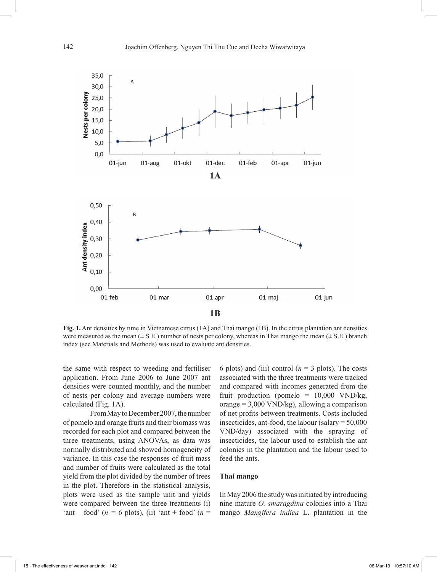

**Fig. 1.** Ant densities by time in Vietnamese citrus (1A) and Thai mango (1B). In the citrus plantation ant densities were measured as the mean ( $\pm$  S.E.) number of nests per colony, whereas in Thai mango the mean ( $\pm$  S.E.) branch index (see Materials and Methods) was used to evaluate ant densities.

the same with respect to weeding and fertiliser application. From June 2006 to June 2007 ant densities were counted monthly, and the number of nests per colony and average numbers were calculated (Fig. 1A).

From May to December 2007, the number of pomelo and orange fruits and their biomass was recorded for each plot and compared between the three treatments, using ANOVAs, as data was normally distributed and showed homogeneity of variance. In this case the responses of fruit mass and number of fruits were calculated as the total yield from the plot divided by the number of trees in the plot. Therefore in the statistical analysis, plots were used as the sample unit and yields were compared between the three treatments (i) 'ant – food' ( $n = 6$  plots), (ii) 'ant + food' ( $n =$ 

6 plots) and (iii) control  $(n = 3$  plots). The costs associated with the three treatments were tracked and compared with incomes generated from the fruit production (pomelo =  $10,000$  VND/kg, orange  $= 3,000$  VND/kg), allowing a comparison of net profits between treatments. Costs included insecticides, ant-food, the labour (salary = 50,000 VND/day) associated with the spraying of insecticides, the labour used to establish the ant colonies in the plantation and the labour used to feed the ants.

#### **Thai mango**

In May 2006 the study was initiated by introducing nine mature *O. smaragdina* colonies into a Thai mango *Mangifera indica* L. plantation in the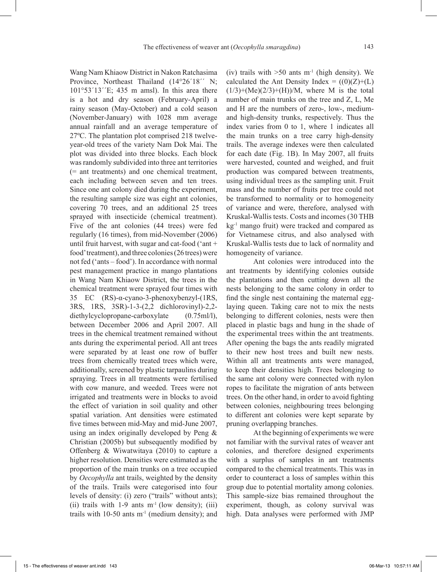Wang Nam Khiaow District in Nakon Ratchasima Province, Northeast Thailand (14°26'18'' N;  $101°53'13'E$ ; 435 m amsl). In this area there is a hot and dry season (February-April) a rainy season (May-October) and a cold season (November-January) with 1028 mm average annual rainfall and an average temperature of 27ºC. The plantation plot comprised 218 twelveyear-old trees of the variety Nam Dok Mai. The plot was divided into three blocks. Each block was randomly subdivided into three ant territories (= ant treatments) and one chemical treatment, each including between seven and ten trees. Since one ant colony died during the experiment, the resulting sample size was eight ant colonies, covering 70 trees, and an additional 25 trees sprayed with insecticide (chemical treatment). Five of the ant colonies (44 trees) were fed regularly (16 times), from mid-November (2006) until fruit harvest, with sugar and cat-food ('ant + food' treatment), and three colonies (26 trees) were not fed ('ants – food'). In accordance with normal pest management practice in mango plantations in Wang Nam Khiaow District, the trees in the chemical treatment were sprayed four times with 35 EC (RS)-α-cyano-3-phenoxybenzyl-(1RS, 3RS, 1RS, 3SR)-1-3-(2,2 dichlorovinyl)-2,2 diethylcyclopropane-carboxylate (0.75ml/l), between December 2006 and April 2007. All trees in the chemical treatment remained without ants during the experimental period. All ant trees were separated by at least one row of buffer trees from chemically treated trees which were, additionally, screened by plastic tarpaulins during spraying. Trees in all treatments were fertilised with cow manure, and weeded. Trees were not irrigated and treatments were in blocks to avoid the effect of variation in soil quality and other spatial variation. Ant densities were estimated five times between mid-May and mid-June 2007, using an index originally developed by Peng & Christian (2005b) but subsequently modified by Offenberg & Wiwatwitaya (2010) to capture a higher resolution. Densities were estimated as the proportion of the main trunks on a tree occupied by *Oecophylla* ant trails, weighted by the density of the trails. Trails were categorised into four levels of density: (i) zero ("trails" without ants); (ii) trails with 1-9 ants  $m<sup>-1</sup>$  (low density); (iii) trails with 10-50 ants  $m<sup>-1</sup>$  (medium density); and

(iv) trails with  $>50$  ants m<sup>-1</sup> (high density). We calculated the Ant Density Index =  $((0)(Z)+(L))$  $(1/3)+(Me)(2/3)+(H))/M$ , where M is the total number of main trunks on the tree and Z, L, Me and H are the numbers of zero-, low-, mediumand high-density trunks, respectively. Thus the index varies from 0 to 1, where 1 indicates all the main trunks on a tree carry high-density trails. The average indexes were then calculated for each date (Fig. 1B). In May 2007, all fruits were harvested, counted and weighed, and fruit production was compared between treatments, using individual trees as the sampling unit. Fruit mass and the number of fruits per tree could not be transformed to normality or to homogeneity of variance and were, therefore, analysed with Kruskal-Wallis tests. Costs and incomes (30 THB kg-1 mango fruit) were tracked and compared as for Vietnamese citrus, and also analysed with Kruskal-Wallis tests due to lack of normality and homogeneity of variance.

Ant colonies were introduced into the ant treatments by identifying colonies outside the plantations and then cutting down all the nests belonging to the same colony in order to find the single nest containing the maternal egglaying queen. Taking care not to mix the nests belonging to different colonies, nests were then placed in plastic bags and hung in the shade of the experimental trees within the ant treatments. After opening the bags the ants readily migrated to their new host trees and built new nests. Within all ant treatments ants were managed, to keep their densities high. Trees belonging to the same ant colony were connected with nylon ropes to facilitate the migration of ants between trees. On the other hand, in order to avoid fighting between colonies, neighbouring trees belonging to different ant colonies were kept separate by pruning overlapping branches.

At the beginning of experiments we were not familiar with the survival rates of weaver ant colonies, and therefore designed experiments with a surplus of samples in ant treatments compared to the chemical treatments. This was in order to counteract a loss of samples within this group due to potential mortality among colonies. This sample-size bias remained throughout the experiment, though, as colony survival was high. Data analyses were performed with JMP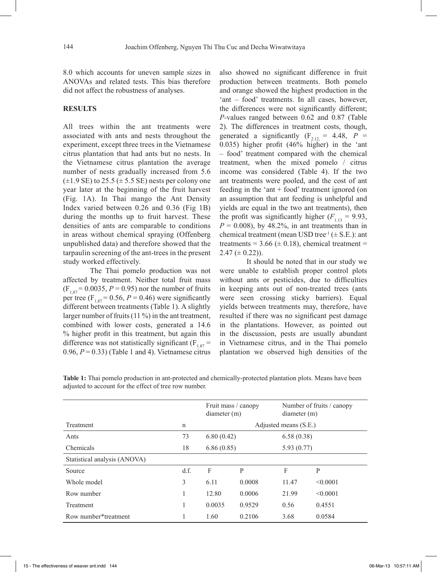8.0 which accounts for uneven sample sizes in ANOVAs and related tests. This bias therefore did not affect the robustness of analyses.

# **RESULTS**

All trees within the ant treatments were associated with ants and nests throughout the experiment, except three trees in the Vietnamese citrus plantation that had ants but no nests. In the Vietnamese citrus plantation the average number of nests gradually increased from 5.6  $(\pm 1.9 \text{ SE})$  to 25.5  $(\pm 5.5 \text{ SE})$  nests per colony one year later at the beginning of the fruit harvest (Fig. 1A). In Thai mango the Ant Density Index varied between 0.26 and 0.36 (Fig 1B) during the months up to fruit harvest. These densities of ants are comparable to conditions in areas without chemical spraying (Offenberg unpublished data) and therefore showed that the tarpaulin screening of the ant-trees in the present study worked effectively.

The Thai pomelo production was not affected by treatment. Neither total fruit mass  $(F_{1,87} = 0.0035, P = 0.95)$  nor the number of fruits per tree (F<sub>1,87</sub> = 0.56, *P* = 0.46) were significantly different between treatments (Table 1). A slightly larger number of fruits (11 %) in the ant treatment, combined with lower costs, generated a 14.6 % higher profit in this treatment, but again this difference was not statistically significant  $(F_{1.87} =$  $0.96, P = 0.33$ ) (Table 1 and 4). Vietnamese citrus also showed no significant difference in fruit production between treatments. Both pomelo and orange showed the highest production in the 'ant – food' treatments. In all cases, however, the differences were not significantly different; *P-*values ranged between 0.62 and 0.87 (Table 2). The differences in treatment costs, though, generated a significantly  $(F_{2,12} = 4.48, P =$ 0.035) higher profit (46% higher) in the 'ant – food' treatment compared with the chemical treatment, when the mixed pomelo / citrus income was considered (Table 4). If the two ant treatments were pooled, and the cost of ant feeding in the 'ant + food' treatment ignored (on an assumption that ant feeding is unhelpful and yields are equal in the two ant treatments), then the profit was significantly higher  $(F_{1,13} = 9.93)$ ,  $P = 0.008$ , by 48.2%, in ant treatments than in chemical treatment (mean USD tree<sup>-1</sup> ( $\pm$  S.E.): ant treatments =  $3.66 \ (\pm 0.18)$ , chemical treatment =  $2.47 \ (\pm 0.22)$ ).

It should be noted that in our study we were unable to establish proper control plots without ants or pesticides, due to difficulties in keeping ants out of non-treated trees (ants were seen crossing sticky barriers). Equal yields between treatments may, therefore, have resulted if there was no significant pest damage in the plantations. However, as pointed out in the discussion, pests are usually abundant in Vietnamese citrus, and in the Thai pomelo plantation we observed high densities of the

|                              |      |                       | Fruit mass / canopy<br>diameter(m) |       | Number of fruits / canopy<br>diameter(m) |  |  |
|------------------------------|------|-----------------------|------------------------------------|-------|------------------------------------------|--|--|
| Treatment                    | n    | Adjusted means (S.E.) |                                    |       |                                          |  |  |
| Ants                         | 73   |                       | 6.80(0.42)                         |       | 6.58(0.38)                               |  |  |
| Chemicals                    | 18   |                       | 6.86(0.85)                         |       | 5.93(0.77)                               |  |  |
| Statistical analysis (ANOVA) |      |                       |                                    |       |                                          |  |  |
| Source                       | d.f. | F                     | P                                  | F     | P                                        |  |  |
| Whole model                  | 3    | 6.11                  | 0.0008                             | 11.47 | < 0.0001                                 |  |  |
| Row number                   | 1    | 12.80                 | 0.0006                             | 21.99 | < 0.0001                                 |  |  |
| Treatment                    |      | 0.0035                | 0.9529                             | 0.56  | 0.4551                                   |  |  |
| Row number*treatment         |      | 1.60                  | 0.2106                             | 3.68  | 0.0584                                   |  |  |

**Table 1:** Thai pomelo production in ant-protected and chemically-protected plantation plots. Means have been adjusted to account for the effect of tree row number.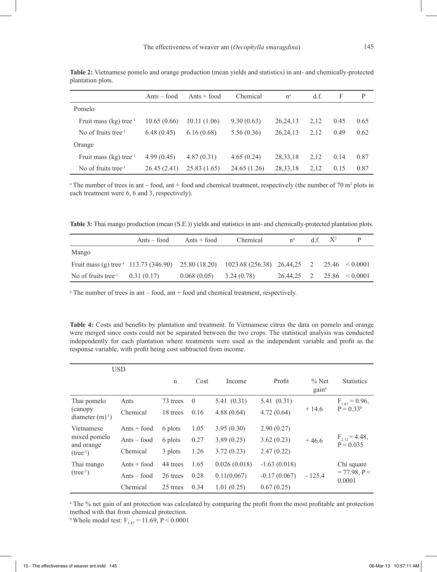|                                      | $Ants - food$ | $Ants + food$ | Chemical    | $n^a$      | d.f. | F    | P    |
|--------------------------------------|---------------|---------------|-------------|------------|------|------|------|
| Pomelo                               |               |               |             |            |      |      |      |
| Fruit mass $(kg)$ tree <sup>-1</sup> | 10.65(0.66)   | 10.11 (1.06)  | 9.30(0.63)  | 26.24.13   | 2.12 | 0.45 | 0.65 |
| No of fruits tree <sup>-1</sup>      | 6.48(0.45)    | 6.16(0.68)    | 5.56(0.36)  | 26.24.13   | 2.12 | 0.49 | 0.62 |
| Orange                               |               |               |             |            |      |      |      |
| Fruit mass $(kg)$ tree <sup>-1</sup> | 4.99(0.45)    | 4.87(0.31)    | 4.65(0.24)  | 28, 33, 18 | 2.12 | 0.14 | 0.87 |
| No of fruits tree <sup>-1</sup>      | 26.45(2.41)   | 25.83(1.65)   | 24.65(1.26) | 28, 33, 18 | 2.12 | 0.15 | 0.87 |

**Table 2:** Vietnamese pomelo and orange production (mean yields and statistics) in ant- and chemically-protected plantation plots.

<sup>a</sup> The number of trees in ant – food, ant + food and chemical treatment, respectively (the number of 70 m<sup>2</sup> plots in each treatment were 6, 6 and 3, respectively).

**Table 3:** Thai mango production (mean (S.E.)) yields and statistics in ant- and chemically-protected plantation plots.

|                                                                                             | $Ants - food$ | $Ants + food$              | Chemical | $n^a$                           | $df = X^2$ |                    |
|---------------------------------------------------------------------------------------------|---------------|----------------------------|----------|---------------------------------|------------|--------------------|
| Mango                                                                                       |               |                            |          |                                 |            |                    |
| Fruit mass (g) tree <sup>-1</sup> 113.73 (346.90) 25.80 (18.20) 1023.68 (256.38) 26.44.25 2 |               |                            |          |                                 |            | $25.46 \le 0.0001$ |
| No of fruits tree <sup>-1</sup> 0.31 (0.17)                                                 |               | $0.068(0.05)$ $3.24(0.78)$ |          | $26.44.25$ 2 $25.86 \le 0.0001$ |            |                    |

<sup>a</sup> The number of trees in ant – food, ant + food and chemical treatment, respectively.

**Table 4:** Costs and benefits by plantation and treatment. In Vietnamese citrus the data on pomelo and orange were merged since costs could not be separated between the two crops. The statistical analysis was conducted independently for each plantation where treatments were used as the independent variable and profit as the response variable, with profit being cost subtracted from income.

| <b>USD</b>                                             |               |              |          |              |                |                              |                                        |
|--------------------------------------------------------|---------------|--------------|----------|--------------|----------------|------------------------------|----------------------------------------|
|                                                        |               | $\mathsf{n}$ | Cost     | Income       | Profit         | $%$ Net<br>gain <sup>a</sup> | <b>Statistics</b>                      |
| Thai pomelo<br>(canopy)<br>diameter $(m)^{-1}$ )       | Ants          | 73 trees     | $\theta$ | 5.41(0.31)   | 5.41(0.31)     |                              | $F_{1.87} = 0.96$ ,<br>$P = 0.33b$     |
|                                                        | Chemical      | 18 trees     | 0.16     | 4.88(0.64)   | 4.72(0.64)     | $+14.6$                      |                                        |
| Vietnamese<br>mixed pomelo<br>and orange<br>$(tree-1)$ | $Ants + food$ | 6 plots      | 1.05     | 3.95(0.30)   | 2.90(0.27)     |                              |                                        |
|                                                        | $Ants - food$ | 6 plots      | 0.27     | 3.89(0.25)   | 3.62(0.23)     | $+46.6$                      | $F_{2,12} = 4.48,$<br>$P = 0.035$      |
|                                                        | Chemical      | 3 plots      | 1.26     | 3.72(0.23)   | 2.47(0.22)     |                              |                                        |
| Thai mango<br>$(tree-1)$                               | $Ants + food$ | 44 trees     | 1.65     | 0.026(0.018) | $-1.63(0.018)$ |                              | Chi square<br>$= 77.98, P <$<br>0.0001 |
|                                                        | $Ants - food$ | 26 trees     | 0.28     | 0.11(0.067)  | $-0.17(0.067)$ | $-125.4$                     |                                        |
|                                                        | Chemical      | 25 trees     | 0.34     | 1.01(0.25)   | 0.67(0.25)     |                              |                                        |

<sup>a</sup> The % net gain of ant protection was calculated by comparing the profit from the most profitable ant protection method with that from chemical protection.

<sup>b</sup>Whole model test:  $F_{3.87} = 11.69$ , P < 0.0001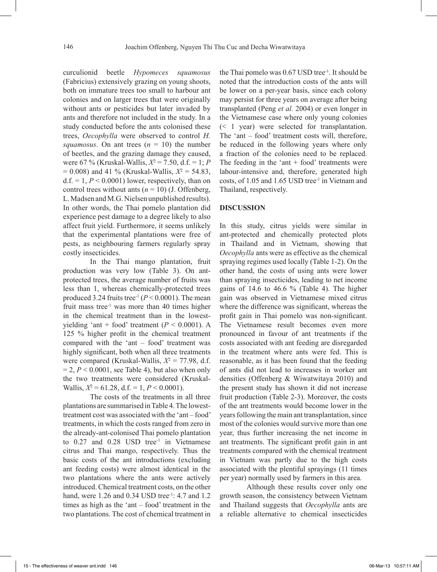curculionid beetle *Hypomeces squamosus* (Fabricius) extensively grazing on young shoots, both on immature trees too small to harbour ant colonies and on larger trees that were originally without ants or pesticides but later invaded by ants and therefore not included in the study. In a study conducted before the ants colonised these trees, *Oecophylla* were observed to control *H. squamosus*. On ant trees  $(n = 10)$  the number of beetles, and the grazing damage they caused, were 67 % (Kruskal-Wallis, *Χ*<sup>2</sup> = 7.50, d.f. = 1; *P* = 0.008) and 41 % (Kruskal-Wallis, *Χ*<sup>2</sup> = 54.83,  $d.f. = 1, P < 0.0001$ ) lower, respectively, than on control trees without ants  $(n = 10)$  (J. Offenberg, L. Madsen and M.G. Nielsen unpublished results). In other words, the Thai pomelo plantation did experience pest damage to a degree likely to also affect fruit yield. Furthermore, it seems unlikely that the experimental plantations were free of pests, as neighbouring farmers regularly spray costly insecticides.

In the Thai mango plantation, fruit production was very low (Table 3). On antprotected trees, the average number of fruits was less than 1, whereas chemically-protected trees produced 3.24 fruits tree<sup>-1</sup> ( $P < 0.0001$ ). The mean fruit mass tree<sup>-1</sup> was more than 40 times higher in the chemical treatment than in the lowestyielding 'ant + food' treatment  $(P < 0.0001)$ . A 125 % higher profit in the chemical treatment compared with the 'ant – food' treatment was highly significant, both when all three treatments were compared (Kruskal-Wallis,  $X^2 = 77.98$ , d.f.  $= 2, P < 0.0001$ , see Table 4), but also when only the two treatments were considered (Kruskal-Wallis,  $X^2 = 61.28$ , d.f. = 1,  $P < 0.0001$ ).

The costs of the treatments in all three plantations are summarised in Table 4. The lowesttreatment cost was associated with the 'ant – food' treatments, in which the costs ranged from zero in the already-ant-colonised Thai pomelo plantation to  $0.27$  and  $0.28$  USD tree<sup>-1</sup> in Vietnamese citrus and Thai mango, respectively. Thus the basic costs of the ant introductions (excluding ant feeding costs) were almost identical in the two plantations where the ants were actively introduced. Chemical treatment costs, on the other hand, were 1.26 and 0.34 USD tree<sup>-1</sup>: 4.7 and 1.2 times as high as the 'ant – food' treatment in the two plantations. The cost of chemical treatment in

the Thai pomelo was  $0.67$  USD tree<sup>-1</sup>. It should be noted that the introduction costs of the ants will be lower on a per-year basis, since each colony may persist for three years on average after being transplanted (Peng *et al.* 2004) or even longer in the Vietnamese case where only young colonies (< 1 year) were selected for transplantation. The 'ant – food' treatment costs will, therefore, be reduced in the following years where only a fraction of the colonies need to be replaced. The feeding in the 'ant  $+$  food' treatments were labour-intensive and, therefore, generated high costs, of 1.05 and 1.65 USD tree<sup>-1</sup> in Vietnam and Thailand, respectively.

## **DISCUSSION**

In this study, citrus yields were similar in ant-protected and chemically protected plots in Thailand and in Vietnam, showing that *Oecophylla* ants were as effective as the chemical spraying regimes used locally (Table 1-2). On the other hand, the costs of using ants were lower than spraying insecticides, leading to net income gains of 14.6 to 46.6  $%$  (Table 4). The higher gain was observed in Vietnamese mixed citrus where the difference was significant, whereas the profit gain in Thai pomelo was non-significant. The Vietnamese result becomes even more pronounced in favour of ant treatments if the costs associated with ant feeding are disregarded in the treatment where ants were fed. This is reasonable, as it has been found that the feeding of ants did not lead to increases in worker ant densities (Offenberg & Wiwatwitaya 2010) and the present study has shown it did not increase fruit production (Table 2-3). Moreover, the costs of the ant treatments would become lower in the years following the main ant transplantation, since most of the colonies would survive more than one year, thus further increasing the net income in ant treatments. The significant profit gain in ant treatments compared with the chemical treatment in Vietnam was partly due to the high costs associated with the plentiful sprayings (11 times per year) normally used by farmers in this area.

Although these results cover only one growth season, the consistency between Vietnam and Thailand suggests that *Oecophylla* ants are a reliable alternative to chemical insecticides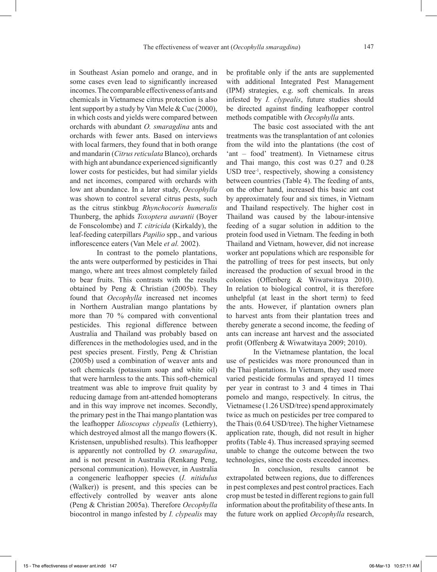in Southeast Asian pomelo and orange, and in some cases even lead to significantly increased incomes. The comparable effectiveness of ants and chemicals in Vietnamese citrus protection is also lent support by a study by Van Mele & Cuc (2000), in which costs and yields were compared between orchards with abundant *O. smaragdina* ants and orchards with fewer ants. Based on interviews with local farmers, they found that in both orange and mandarin (*Citrus reticulata* Blanco), orchards with high ant abundance experienced significantly lower costs for pesticides, but had similar yields and net incomes, compared with orchards with low ant abundance. In a later study, *Oecophylla* was shown to control several citrus pests, such as the citrus stinkbug *Rhynchocoris humeralis* Thunberg, the aphids *Toxoptera aurantii* (Boyer de Fonscolombe) and *T. citricida* (Kirkaldy), the

leaf-feeding caterpillars *Papilio* spp., and various

inflorescence eaters (Van Mele *et al.* 2002). In contrast to the pomelo plantations, the ants were outperformed by pesticides in Thai mango, where ant trees almost completely failed to bear fruits. This contrasts with the results obtained by Peng & Christian (2005b). They found that *Oecophylla* increased net incomes in Northern Australian mango plantations by more than 70 % compared with conventional pesticides. This regional difference between Australia and Thailand was probably based on differences in the methodologies used, and in the pest species present. Firstly, Peng & Christian (2005b) used a combination of weaver ants and soft chemicals (potassium soap and white oil) that were harmless to the ants. This soft-chemical treatment was able to improve fruit quality by reducing damage from ant-attended homopterans and in this way improve net incomes. Secondly, the primary pest in the Thai mango plantation was the leafhopper *Idioscopus clypealis* (Lethierry), which destroyed almost all the mango flowers (K. Kristensen, unpublished results). This leafhopper is apparently not controlled by *O. smaragdina*, and is not present in Australia (Renkang Peng, personal communication). However, in Australia a congeneric leafhopper species (*I. nitidulus* (Walker)) is present, and this species can be effectively controlled by weaver ants alone (Peng & Christian 2005a). Therefore *Oecophylla* biocontrol in mango infested by *I. clypealis* may

be profitable only if the ants are supplemented with additional Integrated Pest Management (IPM) strategies, e.g. soft chemicals. In areas infested by *I. clypealis*, future studies should be directed against finding leafhopper control methods compatible with *Oecophylla* ants.

The basic cost associated with the ant treatments was the transplantation of ant colonies from the wild into the plantations (the cost of 'ant – food' treatment). In Vietnamese citrus and Thai mango, this cost was 0.27 and 0.28 USD tree<sup>-1</sup>, respectively, showing a consistency between countries (Table 4). The feeding of ants, on the other hand, increased this basic ant cost by approximately four and six times, in Vietnam and Thailand respectively. The higher cost in Thailand was caused by the labour-intensive feeding of a sugar solution in addition to the protein food used in Vietnam. The feeding in both Thailand and Vietnam, however, did not increase worker ant populations which are responsible for the patrolling of trees for pest insects, but only increased the production of sexual brood in the colonies (Offenberg & Wiwatwitaya 2010). In relation to biological control, it is therefore unhelpful (at least in the short term) to feed the ants. However, if plantation owners plan to harvest ants from their plantation trees and thereby generate a second income, the feeding of ants can increase ant harvest and the associated profit (Offenberg & Wiwatwitaya 2009; 2010).

In the Vietnamese plantation, the local use of pesticides was more pronounced than in the Thai plantations. In Vietnam, they used more varied pesticide formulas and sprayed 11 times per year in contrast to 3 and 4 times in Thai pomelo and mango, respectively. In citrus, the Vietnamese (1.26 USD/tree) spend approximately twice as much on pesticides per tree compared to the Thais (0.64 USD/tree). The higher Vietnamese application rate, though, did not result in higher profits (Table 4). Thus increased spraying seemed unable to change the outcome between the two technologies, since the costs exceeded incomes.

In conclusion, results cannot be extrapolated between regions, due to differences in pest complexes and pest control practices. Each crop must be tested in different regions to gain full information about the profitability of these ants. In the future work on applied *Oecophylla* research,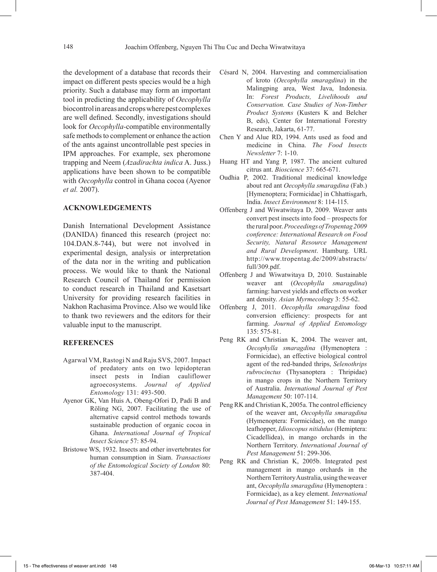the development of a database that records their impact on different pests species would be a high priority. Such a database may form an important tool in predicting the applicability of *Oecophylla*  biocontrol in areas and crops where pest complexes are well defined. Secondly, investigations should look for *Oecophylla-*compatible environmentally safe methods to complement or enhance the action of the ants against uncontrollable pest species in IPM approaches. For example, sex pheromone trapping and Neem (*Azadirachta indica* A. Juss.) applications have been shown to be compatible with *Oecophylla* control in Ghana cocoa (Ayenor *et al.* 2007).

## **ACKNOWLEDGEMENTS**

Danish International Development Assistance (DANIDA) financed this research (project no: 104.DAN.8-744), but were not involved in experimental design, analysis or interpretation of the data nor in the writing and publication process. We would like to thank the National Research Council of Thailand for permission to conduct research in Thailand and Kasetsart University for providing research facilities in Nakhon Rachasima Province. Also we would like to thank two reviewers and the editors for their valuable input to the manuscript.

### **REFERENCES**

- Agarwal VM, Rastogi N and Raju SVS, 2007. Impact of predatory ants on two lepidopteran insect pests in Indian cauliflower agroecosystems. *Journal of Applied Entomology* 131: 493-500.
- Ayenor GK, Van Huis A, Obeng-Ofori D, Padi B and Röling NG, 2007. Facilitating the use of alternative capsid control methods towards sustainable production of organic cocoa in Ghana. *International Journal of Tropical Insect Science* 57: 85-94.
- Bristowe WS, 1932. Insects and other invertebrates for human consumption in Siam. *Transactions of the Entomological Society of London* 80: 387-404.
- Césard N, 2004. Harvesting and commercialisation of kroto (*Oecophylla smaragdina*) in the Malingping area, West Java, Indonesia. In: *Forest Products, Livelihoods and Conservation. Case Studies of Non-Timber Product Systems* (Kusters K and Belcher B, eds), Center for International Forestry Research, Jakarta, 61-77.
- Chen Y and Alue RD, 1994. Ants used as food and medicine in China. *The Food Insects Newsletter* 7: 1-10.
- Huang HT and Yang P, 1987. The ancient cultured citrus ant. *Bioscience* 37: 665-671.
- Oudhia P, 2002. Traditional medicinal knowledge about red ant *Oecophylla smaragdina* (Fab.) [Hymenoptera; Formicidae] in Chhattisgarh, India. *Insect Environment* 8: 114-115.
- Offenberg J and Wiwatwitaya D, 2009. Weaver ants convert pest insects into food – prospects for the rural poor. *Proceedings of Tropentag 2009 conference: International Research on Food Security, Natural Resource Management and Rural Development*. Hamburg. URL http://www.tropentag.de/2009/abstracts/ full/309.pdf.
- Offenberg J and Wiwatwitaya D, 2010. Sustainable weaver ant (*Oecophylla smaragdina*) farming: harvest yields and effects on worker ant density. *Asian Myrmecol*ogy 3: 55-62.
- Offenberg J, 2011. *Oecophylla smaragdina* food conversion efficiency: prospects for ant farming. *Journal of Applied Entomology* 135: 575-81.
- Peng RK and Christian K, 2004. The weaver ant, *Oecophylla smaragdina* (Hymenoptera : Formicidae), an effective biological control agent of the red-banded thrips, *Selenothrips rubrocinctus* (Thysanoptera : Thripidae) in mango crops in the Northern Territory of Australia. *International Journal of Pest Management* 50: 107-114.
- Peng RK and Christian K, 2005a. The control efficiency of the weaver ant, *Oecophylla smaragdina* (Hymenoptera: Formicidae), on the mango leafhopper, *Idioscopus nitidulus* (Hemiptera: Cicadellidea), in mango orchards in the Northern Territory. *International Journal of Pest Management* 51: 299-306.
- Peng RK and Christian K, 2005b. Integrated pest management in mango orchards in the Northern Territory Australia, using the weaver ant, *Oecophylla smaragdina* (Hymenoptera : Formicidae), as a key element. *International Journal of Pest Management* 51: 149-155.